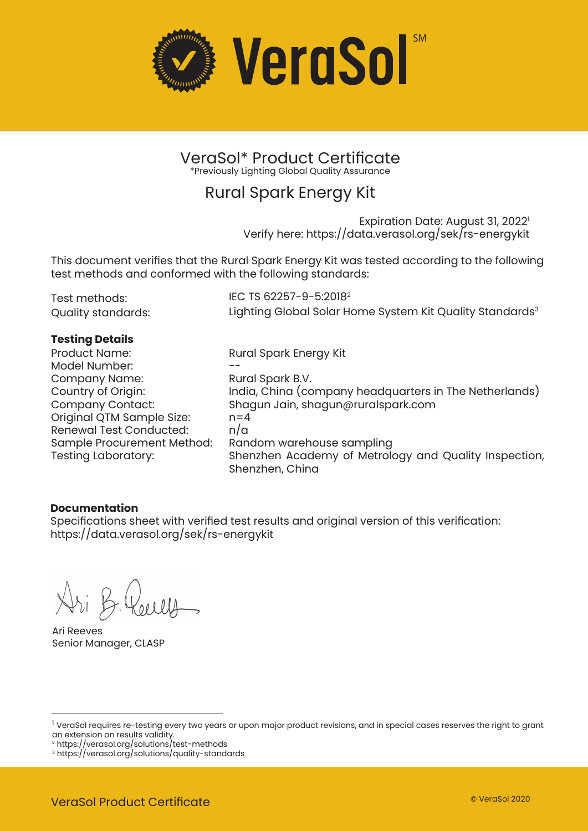

VeraSol\* Product Certificate \*Previously Lighting Global Quality Assurance

### Rural Spark Energy Kit

Expiration Date: August 31, 2022<sup>1</sup> Verify here: https://data.verasol.org/sek/rs-energykit

This document verifies that the Rural Spark Energy Kit was tested according to the following test methods and conformed with the following standards:

| Test methods:      | IEC TS 62257-9-5:2018 <sup>2</sup>                                   |
|--------------------|----------------------------------------------------------------------|
| Quality standards: | Lighting Global Solar Home System Kit Quality Standards <sup>3</sup> |

### **Testing Details**

Product Name: Model Number: Company Name: Country of Origin: Company Contact: Original QTM Sample Size: Renewal Test Conducted: Sample Procurement Method: Random warehouse sampling

Rural Spark Energy Kit -- Rural Spark B.V. India, China (company headquarters in The Netherlands) Shagun Jain, shagun@ruralspark.com  $n=4$ n/a Shenzhen Academy of Metrology and Quality Inspection, Shenzhen, China

### **Documentation**

Specifications sheet with verified test results and original version of this verification: https://data.verasol.org/sek/rs-energykit

Ari Reeves Senior Manager, CLASP

<sup>&</sup>lt;sup>1</sup> VeraSol requires re-testing every two years or upon major product revisions, and in special cases reserves the right to grant an extension on results validity.

<sup>2</sup> https://verasol.org/solutions/test-methods

<sup>3</sup> https://verasol.org/solutions/quality-standards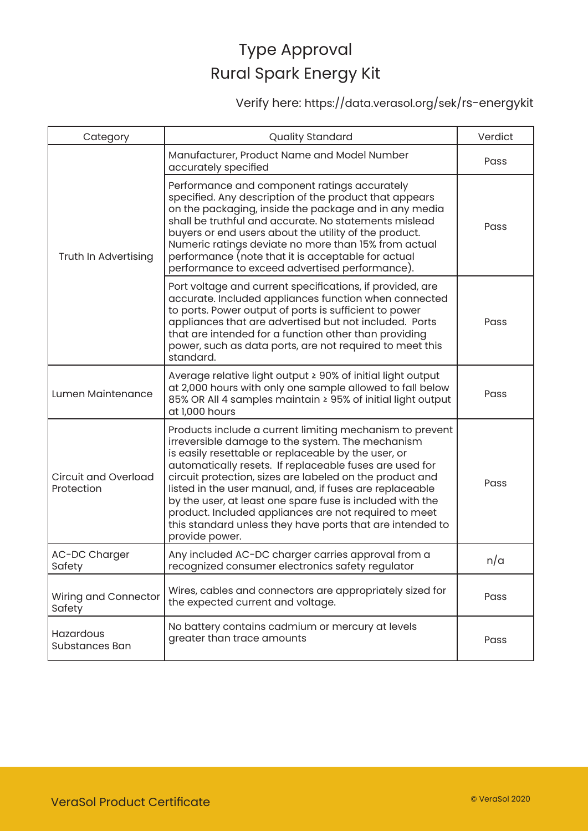Verify here: https://data.verasol.org/sek/rs-energykit

| Category                                  | <b>Quality Standard</b>                                                                                                                                                                                                                                                                                                                                                                                                                                                                                                                                     | Verdict |
|-------------------------------------------|-------------------------------------------------------------------------------------------------------------------------------------------------------------------------------------------------------------------------------------------------------------------------------------------------------------------------------------------------------------------------------------------------------------------------------------------------------------------------------------------------------------------------------------------------------------|---------|
| Truth In Advertising                      | Manufacturer, Product Name and Model Number<br>accurately specified                                                                                                                                                                                                                                                                                                                                                                                                                                                                                         | Pass    |
|                                           | Performance and component ratings accurately<br>specified. Any description of the product that appears<br>on the packaging, inside the package and in any media<br>shall be truthful and accurate. No statements mislead<br>buyers or end users about the utility of the product.<br>Numeric ratings deviate no more than 15% from actual<br>performance (note that it is acceptable for actual<br>performance to exceed advertised performance).                                                                                                           | Pass    |
|                                           | Port voltage and current specifications, if provided, are<br>accurate. Included appliances function when connected<br>to ports. Power output of ports is sufficient to power<br>appliances that are advertised but not included. Ports<br>that are intended for a function other than providing<br>power, such as data ports, are not required to meet this<br>standard.                                                                                                                                                                                    | Pass    |
| Lumen Maintenance                         | Average relative light output ≥ 90% of initial light output<br>at 2,000 hours with only one sample allowed to fall below<br>85% OR All 4 samples maintain ≥ 95% of initial light output<br>at 1,000 hours                                                                                                                                                                                                                                                                                                                                                   | Pass    |
| <b>Circuit and Overload</b><br>Protection | Products include a current limiting mechanism to prevent<br>irreversible damage to the system. The mechanism<br>is easily resettable or replaceable by the user, or<br>automatically resets. If replaceable fuses are used for<br>circuit protection, sizes are labeled on the product and<br>listed in the user manual, and, if fuses are replaceable<br>by the user, at least one spare fuse is included with the<br>product. Included appliances are not required to meet<br>this standard unless they have ports that are intended to<br>provide power. | Pass    |
| AC-DC Charger<br>Safety                   | Any included AC-DC charger carries approval from a<br>recognized consumer electronics safety regulator                                                                                                                                                                                                                                                                                                                                                                                                                                                      | n/a     |
| Wiring and Connector<br>Safety            | Wires, cables and connectors are appropriately sized for<br>the expected current and voltage.                                                                                                                                                                                                                                                                                                                                                                                                                                                               | Pass    |
| Hazardous<br>Substances Ban               | No battery contains cadmium or mercury at levels<br>greater than trace amounts                                                                                                                                                                                                                                                                                                                                                                                                                                                                              | Pass    |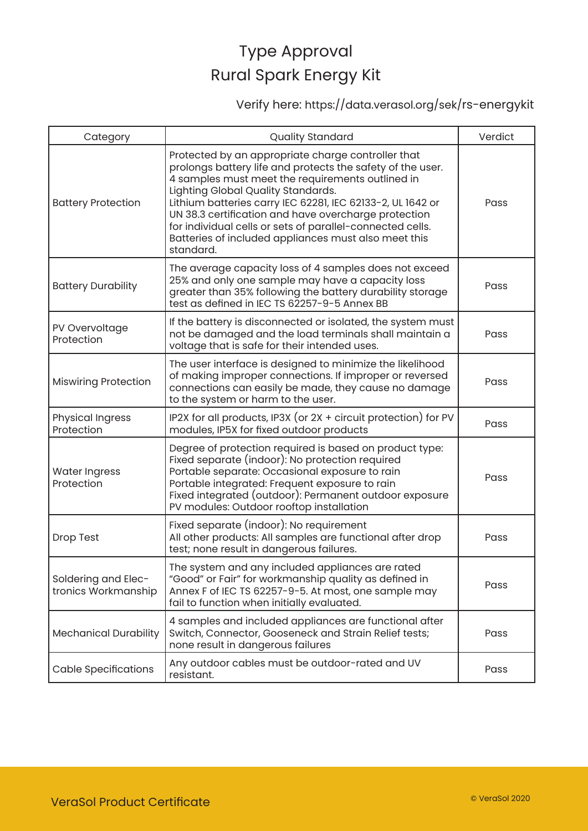### Verify here: https://data.verasol.org/sek/rs-energykit

| Category                                   | <b>Quality Standard</b>                                                                                                                                                                                                                                                                                                                                                                                                                                            | Verdict |
|--------------------------------------------|--------------------------------------------------------------------------------------------------------------------------------------------------------------------------------------------------------------------------------------------------------------------------------------------------------------------------------------------------------------------------------------------------------------------------------------------------------------------|---------|
| <b>Battery Protection</b>                  | Protected by an appropriate charge controller that<br>prolongs battery life and protects the safety of the user.<br>4 samples must meet the requirements outlined in<br>Lighting Global Quality Standards.<br>Lithium batteries carry IEC 62281, IEC 62133-2, UL 1642 or<br>UN 38.3 certification and have overcharge protection<br>for individual cells or sets of parallel-connected cells.<br>Batteries of included appliances must also meet this<br>standard. | Pass    |
| <b>Battery Durability</b>                  | The average capacity loss of 4 samples does not exceed<br>25% and only one sample may have a capacity loss<br>greater than 35% following the battery durability storage<br>test as defined in IEC TS 62257-9-5 Annex BB                                                                                                                                                                                                                                            | Pass    |
| PV Overvoltage<br>Protection               | If the battery is disconnected or isolated, the system must<br>not be damaged and the load terminals shall maintain a<br>voltage that is safe for their intended uses.                                                                                                                                                                                                                                                                                             | Pass    |
| <b>Miswiring Protection</b>                | The user interface is designed to minimize the likelihood<br>of making improper connections. If improper or reversed<br>connections can easily be made, they cause no damage<br>to the system or harm to the user.                                                                                                                                                                                                                                                 | Pass    |
| <b>Physical Ingress</b><br>Protection      | IP2X for all products, IP3X (or 2X + circuit protection) for PV<br>modules, IP5X for fixed outdoor products                                                                                                                                                                                                                                                                                                                                                        | Pass    |
| <b>Water Ingress</b><br>Protection         | Degree of protection required is based on product type:<br>Fixed separate (indoor): No protection required<br>Portable separate: Occasional exposure to rain<br>Portable integrated: Frequent exposure to rain<br>Fixed integrated (outdoor): Permanent outdoor exposure<br>PV modules: Outdoor rooftop installation                                                                                                                                               | Pass    |
| Drop Test                                  | Fixed separate (indoor): No requirement<br>All other products: All samples are functional after drop<br>test; none result in dangerous failures.                                                                                                                                                                                                                                                                                                                   | Pass    |
| Soldering and Elec-<br>tronics Workmanship | The system and any included appliances are rated<br>"Good" or Fair" for workmanship quality as defined in<br>Annex F of IEC TS 62257-9-5. At most, one sample may<br>fail to function when initially evaluated.                                                                                                                                                                                                                                                    | Pass    |
| <b>Mechanical Durability</b>               | 4 samples and included appliances are functional after<br>Switch, Connector, Gooseneck and Strain Relief tests;<br>none result in dangerous failures                                                                                                                                                                                                                                                                                                               | Pass    |
| <b>Cable Specifications</b>                | Any outdoor cables must be outdoor-rated and UV<br>resistant.                                                                                                                                                                                                                                                                                                                                                                                                      | Pass    |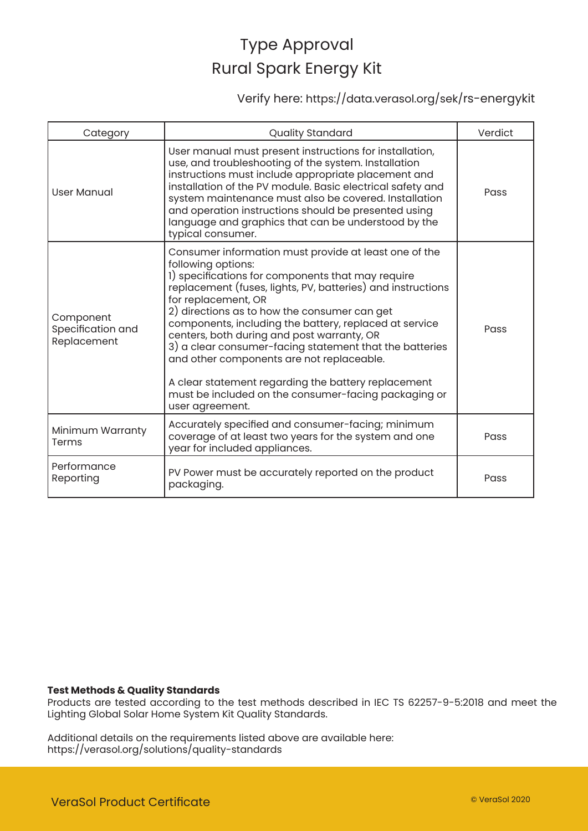Verify here: https://data.verasol.org/sek/rs-energykit

| Category                                      | Quality Standard                                                                                                                                                                                                                                                                                                                                                                                                                                                                                                                                                                                                         | Verdict |
|-----------------------------------------------|--------------------------------------------------------------------------------------------------------------------------------------------------------------------------------------------------------------------------------------------------------------------------------------------------------------------------------------------------------------------------------------------------------------------------------------------------------------------------------------------------------------------------------------------------------------------------------------------------------------------------|---------|
| <b>User Manual</b>                            | User manual must present instructions for installation,<br>use, and troubleshooting of the system. Installation<br>instructions must include appropriate placement and<br>installation of the PV module. Basic electrical safety and<br>system maintenance must also be covered. Installation<br>and operation instructions should be presented using<br>language and graphics that can be understood by the<br>typical consumer.                                                                                                                                                                                        | Pass    |
| Component<br>Specification and<br>Replacement | Consumer information must provide at least one of the<br>following options:<br>1) specifications for components that may require<br>replacement (fuses, lights, PV, batteries) and instructions<br>for replacement, OR<br>2) directions as to how the consumer can get<br>components, including the battery, replaced at service<br>centers, both during and post warranty, OR<br>3) a clear consumer-facing statement that the batteries<br>and other components are not replaceable.<br>A clear statement regarding the battery replacement<br>must be included on the consumer-facing packaging or<br>user agreement. | Pass    |
| Minimum Warranty<br>Terms                     | Accurately specified and consumer-facing; minimum<br>coverage of at least two years for the system and one<br>year for included appliances.                                                                                                                                                                                                                                                                                                                                                                                                                                                                              | Pass    |
| Performance<br>Reporting                      | PV Power must be accurately reported on the product<br>packaging.                                                                                                                                                                                                                                                                                                                                                                                                                                                                                                                                                        | Pass    |

#### **Test Methods & Quality Standards**

Products are tested according to the test methods described in IEC TS 62257-9-5:2018 and meet the Lighting Global Solar Home System Kit Quality Standards.

Additional details on the requirements listed above are available here: https://verasol.org/solutions/quality-standards